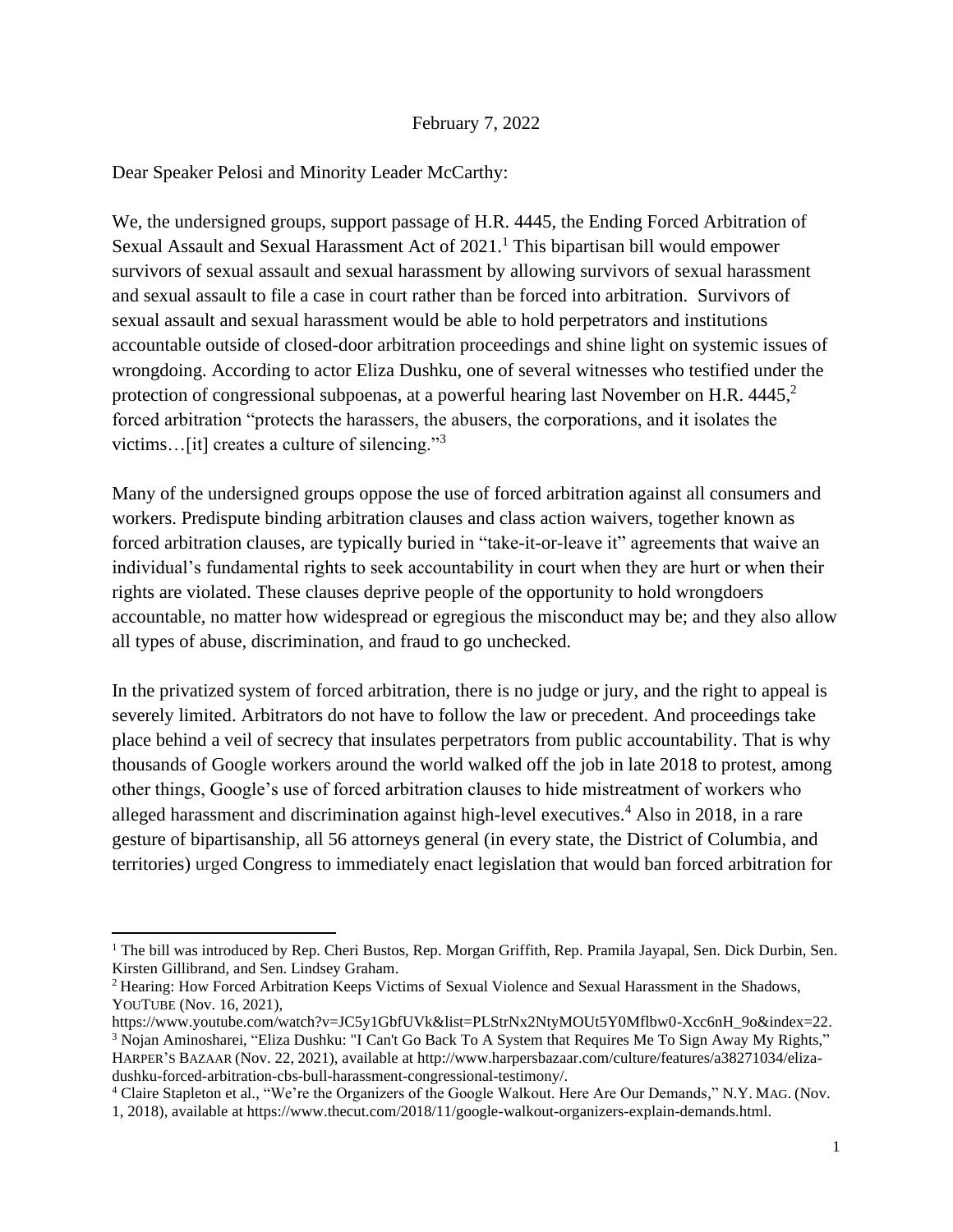## February 7, 2022

## Dear Speaker Pelosi and Minority Leader McCarthy:

We, the undersigned groups, support passage of H.R. 4445, the Ending Forced Arbitration of Sexual Assault and Sexual Harassment Act of 2021.<sup>1</sup> This bipartisan bill would empower survivors of sexual assault and sexual harassment by allowing survivors of sexual harassment and sexual assault to file a case in court rather than be forced into arbitration. Survivors of sexual assault and sexual harassment would be able to hold perpetrators and institutions accountable outside of closed-door arbitration proceedings and shine light on systemic issues of wrongdoing. According to actor Eliza Dushku, one of several witnesses who testified under the protection of congressional subpoenas, at a powerful hearing last November on H.R. 4445,<sup>2</sup> forced arbitration "protects the harassers, the abusers, the corporations, and it isolates the victims…[it] creates a culture of silencing."<sup>3</sup>

Many of the undersigned groups oppose the use of forced arbitration against all consumers and workers. Predispute binding arbitration clauses and class action waivers, together known as forced arbitration clauses, are typically buried in "take-it-or-leave it" agreements that waive an individual's fundamental rights to seek accountability in court when they are hurt or when their rights are violated. These clauses deprive people of the opportunity to hold wrongdoers accountable, no matter how widespread or egregious the misconduct may be; and they also allow all types of abuse, discrimination, and fraud to go unchecked.

In the privatized system of forced arbitration, there is no judge or jury, and the right to appeal is severely limited. Arbitrators do not have to follow the law or precedent. And proceedings take place behind a veil of secrecy that insulates perpetrators from public accountability. That is why thousands of Google workers around the world walked off the job in late 2018 to protest, among other things, Google's use of forced arbitration clauses to hide mistreatment of workers who alleged harassment and discrimination against high-level executives.<sup>4</sup> Also in 2018, in a rare gesture of bipartisanship, all 56 attorneys general (in every state, the District of Columbia, and territories) urged Congress to immediately enact legislation that would ban forced arbitration for

<sup>&</sup>lt;sup>1</sup> The bill was introduced by Rep. Cheri Bustos, Rep. Morgan Griffith, Rep. Pramila Jayapal, Sen. Dick Durbin, Sen. Kirsten Gillibrand, and Sen. Lindsey Graham.

<sup>2</sup> Hearing: How Forced Arbitration Keeps Victims of Sexual Violence and Sexual Harassment in the Shadows, YOUTUBE (Nov. 16, 2021),

[https://www.youtube.com/watch?v=JC5y1GbfUVk&list=PLStrNx2NtyMOUt5Y0Mflbw0-Xcc6nH\\_9o&index=22.](https://www.youtube.com/watch?v=JC5y1GbfUVk&list=PLStrNx2NtyMOUt5Y0Mflbw0-Xcc6nH_9o&index=22) <sup>3</sup> Nojan Aminosharei, "Eliza Dushku: "I Can't Go Back To A System that Requires Me To Sign Away My Rights," HARPER'S BAZAAR (Nov. 22, 2021), available at http://www.harpersbazaar.com/culture/features/a38271034/elizadushku-forced-arbitration-cbs-bull-harassment-congressional-testimony/.

<sup>4</sup> Claire Stapleton et al., "We're the Organizers of the Google Walkout. Here Are Our Demands," N.Y. MAG. (Nov. 1, 2018), available a[t https://www.thecut.com/2018/11/google-walkout-organizers-explain-demands.html.](https://www.thecut.com/2018/11/google-walkout-organizers-explain-demands.html)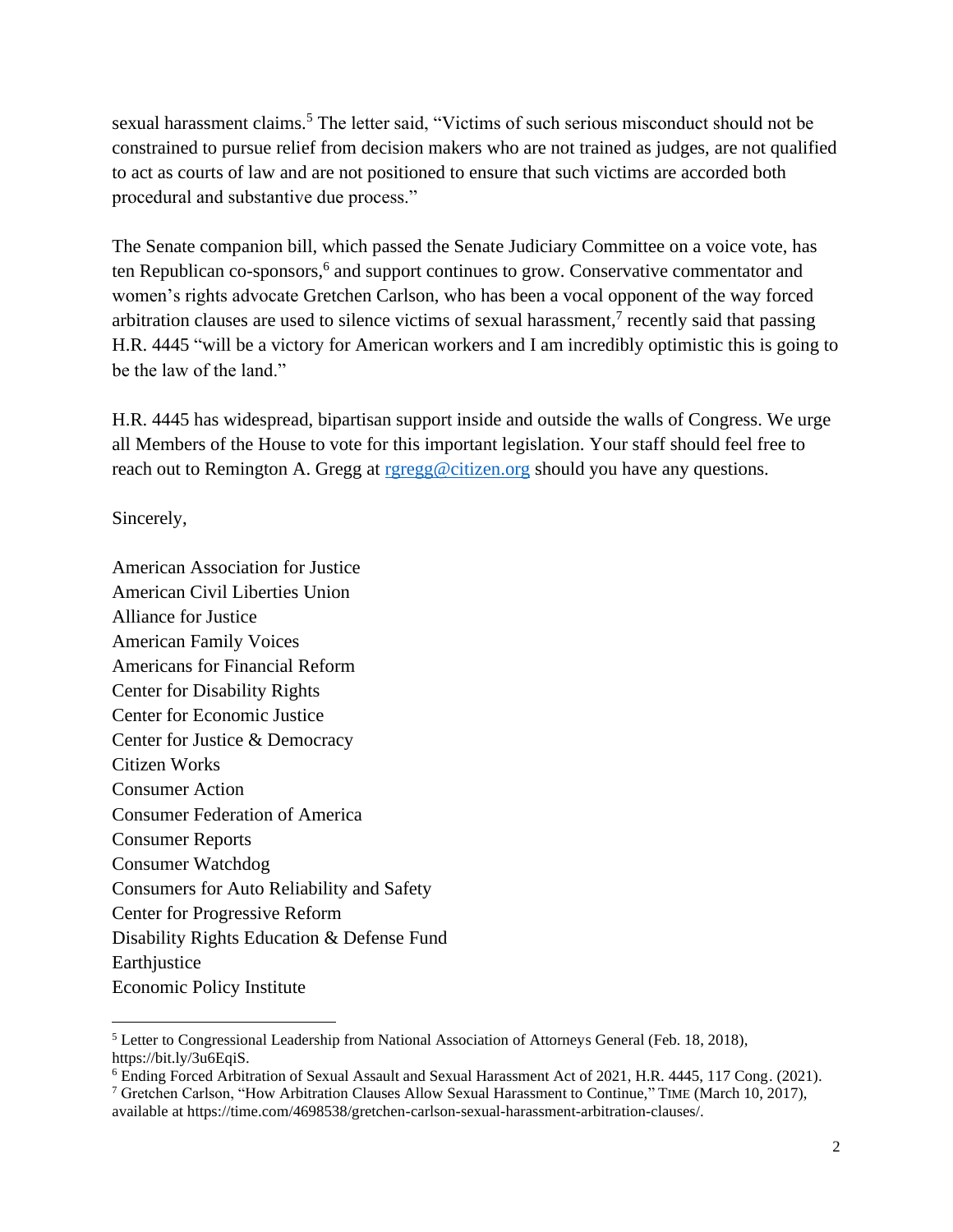sexual harassment claims.<sup>5</sup> The letter said, "Victims of such serious misconduct should not be constrained to pursue relief from decision makers who are not trained as judges, are not qualified to act as courts of law and are not positioned to ensure that such victims are accorded both procedural and substantive due process."

The Senate companion bill, which passed the Senate Judiciary Committee on a voice vote, has ten Republican co-sponsors, 6 and support continues to grow. Conservative commentator and women's rights advocate Gretchen Carlson, who has been a vocal opponent of the way forced arbitration clauses are used to silence victims of sexual harassment,<sup>7</sup> recently said that passing H.R. 4445 "will be a victory for American workers and I am incredibly optimistic this is going to be the law of the land."

H.R. 4445 has widespread, bipartisan support inside and outside the walls of Congress. We urge all Members of the House to vote for this important legislation. Your staff should feel free to reach out to Remington A. Gregg at [rgregg@citizen.org](mailto:rgregg@citizen.org) should you have any questions.

Sincerely,

American Association for Justice American Civil Liberties Union Alliance for Justice American Family Voices Americans for Financial Reform Center for Disability Rights Center for Economic Justice Center for Justice & Democracy Citizen Works Consumer Action Consumer Federation of America Consumer Reports Consumer Watchdog Consumers for Auto Reliability and Safety Center for Progressive Reform Disability Rights Education & Defense Fund **Earthjustice** Economic Policy Institute

<sup>5</sup> Letter to Congressional Leadership from National Association of Attorneys General (Feb. 18, 2018), [https://bit.ly/3u6EqiS.](https://bit.ly/3u6EqiS)

<sup>6</sup> Ending Forced Arbitration of Sexual Assault and Sexual Harassment Act of 2021, H.R. 4445, 117 Cong. (2021).

<sup>7</sup> Gretchen Carlson, "How Arbitration Clauses Allow Sexual Harassment to Continue," TIME (March 10, 2017), available at [https://time.com/4698538/gretchen-carlson-sexual-harassment-arbitration-clauses/.](https://time.com/4698538/gretchen-carlson-sexual-harassment-arbitration-clauses/)